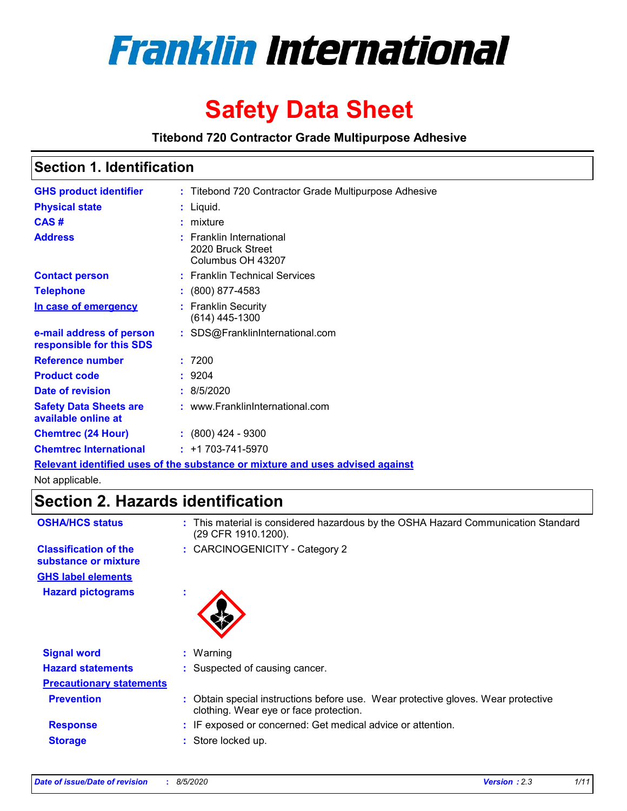

# **Safety Data Sheet**

**Titebond 720 Contractor Grade Multipurpose Adhesive**

### **Section 1. Identification**

| <b>GHS product identifier</b>                        |    | : Titebond 720 Contractor Grade Multipurpose Adhesive                         |
|------------------------------------------------------|----|-------------------------------------------------------------------------------|
| <b>Physical state</b>                                |    | : Liquid.                                                                     |
| CAS#                                                 |    | $:$ mixture                                                                   |
| <b>Address</b>                                       |    | : Franklin International<br>2020 Bruck Street<br>Columbus OH 43207            |
| <b>Contact person</b>                                |    | : Franklin Technical Services                                                 |
| <b>Telephone</b>                                     |    | $: (800) 877-4583$                                                            |
| <u>In case of emergency</u>                          |    | : Franklin Security<br>$(614)$ 445-1300                                       |
| e-mail address of person<br>responsible for this SDS |    | : SDS@FranklinInternational.com                                               |
| <b>Reference number</b>                              | ÷. | 7200                                                                          |
| <b>Product code</b>                                  |    | : 9204                                                                        |
| Date of revision                                     |    | : 8/5/2020                                                                    |
| <b>Safety Data Sheets are</b><br>available online at |    | : www.FranklinInternational.com                                               |
| <b>Chemtrec (24 Hour)</b>                            |    | $(800)$ 424 - 9300                                                            |
| <b>Chemtrec International</b>                        |    | $: +1703 - 741 - 5970$                                                        |
|                                                      |    | Relevant identified uses of the substance or mixture and uses advised against |

Not applicable.

### **Section 2. Hazards identification**

| <b>OSHA/HCS status</b>                               |    | : This material is considered hazardous by the OSHA Hazard Communication Standard<br>(29 CFR 1910.1200).                    |
|------------------------------------------------------|----|-----------------------------------------------------------------------------------------------------------------------------|
| <b>Classification of the</b><br>substance or mixture |    | : CARCINOGENICITY - Category 2                                                                                              |
| <b>GHS label elements</b>                            |    |                                                                                                                             |
| <b>Hazard pictograms</b>                             | ×. |                                                                                                                             |
| <b>Signal word</b>                                   |    | $:$ Warning                                                                                                                 |
| <b>Hazard statements</b>                             |    | : Suspected of causing cancer.                                                                                              |
| <b>Precautionary statements</b>                      |    |                                                                                                                             |
| <b>Prevention</b>                                    |    | : Obtain special instructions before use. Wear protective gloves. Wear protective<br>clothing. Wear eye or face protection. |
| <b>Response</b>                                      |    | : IF exposed or concerned: Get medical advice or attention.                                                                 |
| <b>Storage</b>                                       |    | : Store locked up.                                                                                                          |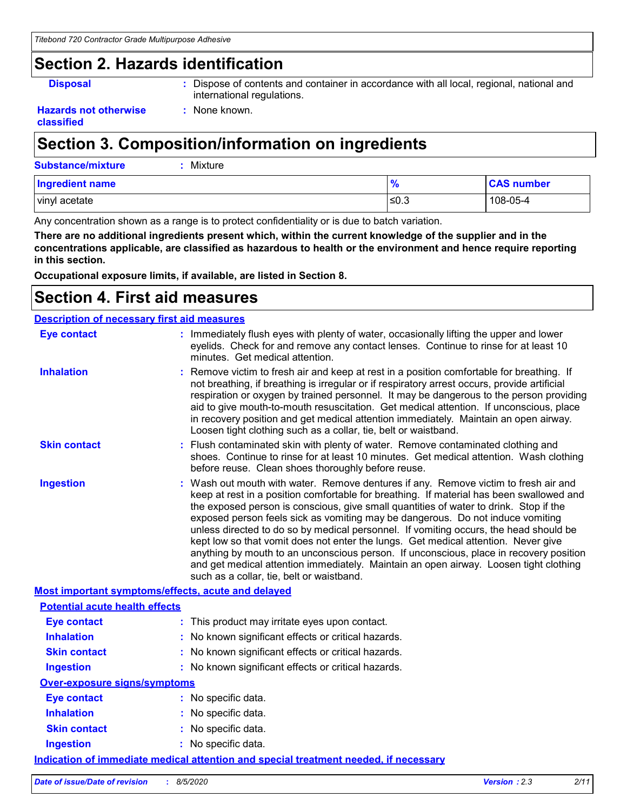### **Section 2. Hazards identification**

**Disposal :** Dispose of contents and container in accordance with all local, regional, national and international regulations.

#### **Hazards not otherwise classified**

### **Section 3. Composition/information on ingredients**

**:** None known.

| <b>Substance/mixture</b> | : Mixture |  |
|--------------------------|-----------|--|
|                          |           |  |

| <b>Ingredient name</b> |      | <b>CAS number</b> |
|------------------------|------|-------------------|
| vinyl acetate          | .0.3 | 108-05-4          |

Any concentration shown as a range is to protect confidentiality or is due to batch variation.

**There are no additional ingredients present which, within the current knowledge of the supplier and in the concentrations applicable, are classified as hazardous to health or the environment and hence require reporting in this section.**

**Occupational exposure limits, if available, are listed in Section 8.**

### **Section 4. First aid measures**

| <b>Description of necessary first aid measures</b> |                                                                                                                                                                                                                                                                                                                                                                                                                                                                                                                                                                                                                                                                                                                                                                           |  |
|----------------------------------------------------|---------------------------------------------------------------------------------------------------------------------------------------------------------------------------------------------------------------------------------------------------------------------------------------------------------------------------------------------------------------------------------------------------------------------------------------------------------------------------------------------------------------------------------------------------------------------------------------------------------------------------------------------------------------------------------------------------------------------------------------------------------------------------|--|
| <b>Eye contact</b>                                 | : Immediately flush eyes with plenty of water, occasionally lifting the upper and lower<br>eyelids. Check for and remove any contact lenses. Continue to rinse for at least 10<br>minutes. Get medical attention.                                                                                                                                                                                                                                                                                                                                                                                                                                                                                                                                                         |  |
| <b>Inhalation</b>                                  | : Remove victim to fresh air and keep at rest in a position comfortable for breathing. If<br>not breathing, if breathing is irregular or if respiratory arrest occurs, provide artificial<br>respiration or oxygen by trained personnel. It may be dangerous to the person providing<br>aid to give mouth-to-mouth resuscitation. Get medical attention. If unconscious, place<br>in recovery position and get medical attention immediately. Maintain an open airway.<br>Loosen tight clothing such as a collar, tie, belt or waistband.                                                                                                                                                                                                                                 |  |
| <b>Skin contact</b>                                | : Flush contaminated skin with plenty of water. Remove contaminated clothing and<br>shoes. Continue to rinse for at least 10 minutes. Get medical attention. Wash clothing<br>before reuse. Clean shoes thoroughly before reuse.                                                                                                                                                                                                                                                                                                                                                                                                                                                                                                                                          |  |
| <b>Ingestion</b>                                   | : Wash out mouth with water. Remove dentures if any. Remove victim to fresh air and<br>keep at rest in a position comfortable for breathing. If material has been swallowed and<br>the exposed person is conscious, give small quantities of water to drink. Stop if the<br>exposed person feels sick as vomiting may be dangerous. Do not induce vomiting<br>unless directed to do so by medical personnel. If vomiting occurs, the head should be<br>kept low so that vomit does not enter the lungs. Get medical attention. Never give<br>anything by mouth to an unconscious person. If unconscious, place in recovery position<br>and get medical attention immediately. Maintain an open airway. Loosen tight clothing<br>such as a collar, tie, belt or waistband. |  |
| Most important symptoms/effects, acute and delayed |                                                                                                                                                                                                                                                                                                                                                                                                                                                                                                                                                                                                                                                                                                                                                                           |  |
| <b>Potential acute health effects</b>              |                                                                                                                                                                                                                                                                                                                                                                                                                                                                                                                                                                                                                                                                                                                                                                           |  |
| <b>Eye contact</b>                                 | : This product may irritate eyes upon contact.                                                                                                                                                                                                                                                                                                                                                                                                                                                                                                                                                                                                                                                                                                                            |  |
| <b>Inhalation</b>                                  | : No known significant effects or critical hazards.                                                                                                                                                                                                                                                                                                                                                                                                                                                                                                                                                                                                                                                                                                                       |  |
| <b>Skin contact</b>                                | : No known significant effects or critical hazards.                                                                                                                                                                                                                                                                                                                                                                                                                                                                                                                                                                                                                                                                                                                       |  |
| <b>Ingestion</b>                                   | : No known significant effects or critical hazards.                                                                                                                                                                                                                                                                                                                                                                                                                                                                                                                                                                                                                                                                                                                       |  |
| <b>Over-exposure signs/symptoms</b>                |                                                                                                                                                                                                                                                                                                                                                                                                                                                                                                                                                                                                                                                                                                                                                                           |  |
| <b>Eye contact</b>                                 | : No specific data.                                                                                                                                                                                                                                                                                                                                                                                                                                                                                                                                                                                                                                                                                                                                                       |  |
| <b>Inhalation</b>                                  | : No specific data.                                                                                                                                                                                                                                                                                                                                                                                                                                                                                                                                                                                                                                                                                                                                                       |  |
| <b>Skin contact</b>                                | : No specific data.                                                                                                                                                                                                                                                                                                                                                                                                                                                                                                                                                                                                                                                                                                                                                       |  |
| <b>Ingestion</b>                                   | : No specific data.                                                                                                                                                                                                                                                                                                                                                                                                                                                                                                                                                                                                                                                                                                                                                       |  |
|                                                    | <u>Indication of immediate medical attention and special treatment needed, if necessary</u>                                                                                                                                                                                                                                                                                                                                                                                                                                                                                                                                                                                                                                                                               |  |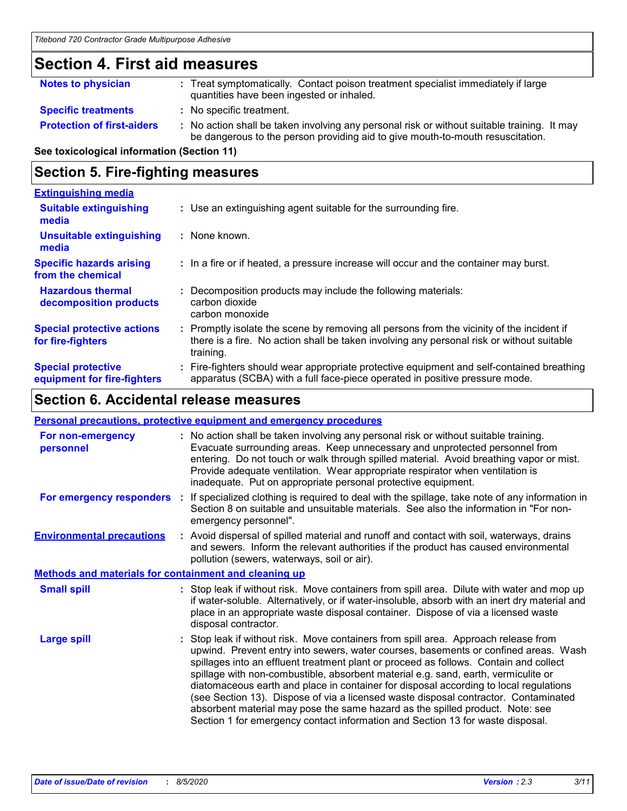### **Section 4. First aid measures**

| <b>Notes to physician</b>         | : Treat symptomatically. Contact poison treatment specialist immediately if large<br>quantities have been ingested or inhaled.                                                |
|-----------------------------------|-------------------------------------------------------------------------------------------------------------------------------------------------------------------------------|
| <b>Specific treatments</b>        | : No specific treatment.                                                                                                                                                      |
| <b>Protection of first-aiders</b> | : No action shall be taken involving any personal risk or without suitable training. It may<br>be dangerous to the person providing aid to give mouth-to-mouth resuscitation. |

**See toxicological information (Section 11)**

### **Section 5. Fire-fighting measures**

| <b>Extinguishing media</b>                               |                                                                                                                                                                                                   |
|----------------------------------------------------------|---------------------------------------------------------------------------------------------------------------------------------------------------------------------------------------------------|
| <b>Suitable extinguishing</b><br>media                   | : Use an extinguishing agent suitable for the surrounding fire.                                                                                                                                   |
| <b>Unsuitable extinguishing</b><br>media                 | : None known.                                                                                                                                                                                     |
| <b>Specific hazards arising</b><br>from the chemical     | : In a fire or if heated, a pressure increase will occur and the container may burst.                                                                                                             |
| <b>Hazardous thermal</b><br>decomposition products       | Decomposition products may include the following materials:<br>carbon dioxide<br>carbon monoxide                                                                                                  |
| <b>Special protective actions</b><br>for fire-fighters   | Promptly isolate the scene by removing all persons from the vicinity of the incident if<br>there is a fire. No action shall be taken involving any personal risk or without suitable<br>training. |
| <b>Special protective</b><br>equipment for fire-fighters | Fire-fighters should wear appropriate protective equipment and self-contained breathing<br>apparatus (SCBA) with a full face-piece operated in positive pressure mode.                            |

### **Section 6. Accidental release measures**

|                          | <b>Personal precautions, protective equipment and emergency procedures</b>                                                                                                                                                                                                                                                                                                                                                                                                                                                                                                                                                                                                                                 |
|--------------------------|------------------------------------------------------------------------------------------------------------------------------------------------------------------------------------------------------------------------------------------------------------------------------------------------------------------------------------------------------------------------------------------------------------------------------------------------------------------------------------------------------------------------------------------------------------------------------------------------------------------------------------------------------------------------------------------------------------|
|                          | : No action shall be taken involving any personal risk or without suitable training.<br>Evacuate surrounding areas. Keep unnecessary and unprotected personnel from<br>entering. Do not touch or walk through spilled material. Avoid breathing vapor or mist.<br>Provide adequate ventilation. Wear appropriate respirator when ventilation is<br>inadequate. Put on appropriate personal protective equipment.                                                                                                                                                                                                                                                                                           |
| For emergency responders | If specialized clothing is required to deal with the spillage, take note of any information in<br>Section 8 on suitable and unsuitable materials. See also the information in "For non-<br>emergency personnel".                                                                                                                                                                                                                                                                                                                                                                                                                                                                                           |
|                          | : Avoid dispersal of spilled material and runoff and contact with soil, waterways, drains<br>and sewers. Inform the relevant authorities if the product has caused environmental<br>pollution (sewers, waterways, soil or air).                                                                                                                                                                                                                                                                                                                                                                                                                                                                            |
|                          | <b>Methods and materials for containment and cleaning up</b>                                                                                                                                                                                                                                                                                                                                                                                                                                                                                                                                                                                                                                               |
|                          | : Stop leak if without risk. Move containers from spill area. Dilute with water and mop up<br>if water-soluble. Alternatively, or if water-insoluble, absorb with an inert dry material and<br>place in an appropriate waste disposal container. Dispose of via a licensed waste<br>disposal contractor.                                                                                                                                                                                                                                                                                                                                                                                                   |
|                          | Stop leak if without risk. Move containers from spill area. Approach release from<br>upwind. Prevent entry into sewers, water courses, basements or confined areas. Wash<br>spillages into an effluent treatment plant or proceed as follows. Contain and collect<br>spillage with non-combustible, absorbent material e.g. sand, earth, vermiculite or<br>diatomaceous earth and place in container for disposal according to local regulations<br>(see Section 13). Dispose of via a licensed waste disposal contractor. Contaminated<br>absorbent material may pose the same hazard as the spilled product. Note: see<br>Section 1 for emergency contact information and Section 13 for waste disposal. |
|                          | ÷.                                                                                                                                                                                                                                                                                                                                                                                                                                                                                                                                                                                                                                                                                                         |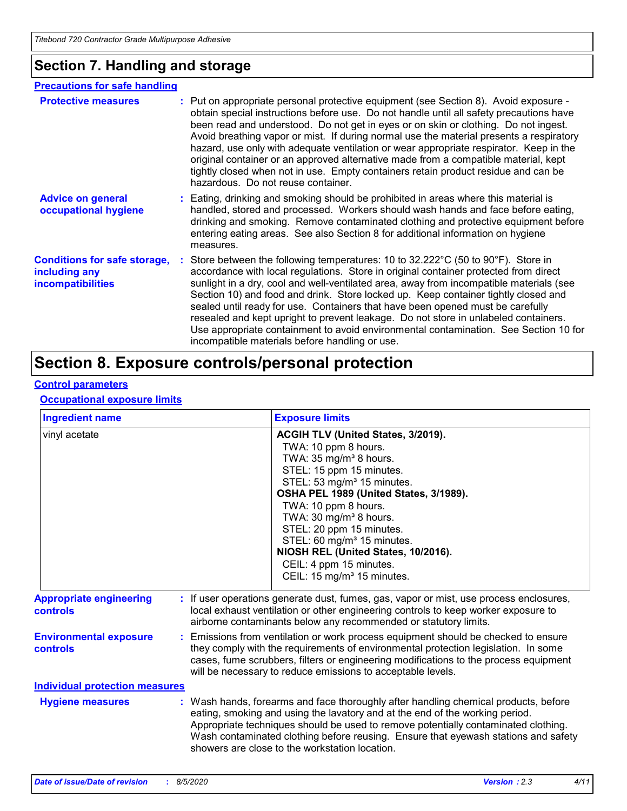### **Section 7. Handling and storage**

#### **Advice on general occupational hygiene Conditions for safe storage, including any incompatibilities** Eating, drinking and smoking should be prohibited in areas where this material is **:** handled, stored and processed. Workers should wash hands and face before eating, drinking and smoking. Remove contaminated clothing and protective equipment before entering eating areas. See also Section 8 for additional information on hygiene measures. Store between the following temperatures: 10 to 32.222°C (50 to 90°F). Store in **:** accordance with local regulations. Store in original container protected from direct sunlight in a dry, cool and well-ventilated area, away from incompatible materials (see Section 10) and food and drink. Store locked up. Keep container tightly closed and sealed until ready for use. Containers that have been opened must be carefully resealed and kept upright to prevent leakage. Do not store in unlabeled containers. Use appropriate containment to avoid environmental contamination. See Section 10 for incompatible materials before handling or use. **Protective measures** : Put on appropriate personal protective equipment (see Section 8). Avoid exposure obtain special instructions before use. Do not handle until all safety precautions have been read and understood. Do not get in eyes or on skin or clothing. Do not ingest. Avoid breathing vapor or mist. If during normal use the material presents a respiratory hazard, use only with adequate ventilation or wear appropriate respirator. Keep in the original container or an approved alternative made from a compatible material, kept tightly closed when not in use. Empty containers retain product residue and can be hazardous. Do not reuse container. **Precautions for safe handling**

### **Section 8. Exposure controls/personal protection**

### **Control parameters**

#### **Occupational exposure limits**

| <b>Ingredient name</b>                            |  | <b>Exposure limits</b>                                                                                                                                                                                                                                                                                                                                                                                                                                           |  |
|---------------------------------------------------|--|------------------------------------------------------------------------------------------------------------------------------------------------------------------------------------------------------------------------------------------------------------------------------------------------------------------------------------------------------------------------------------------------------------------------------------------------------------------|--|
| vinyl acetate                                     |  | ACGIH TLV (United States, 3/2019).<br>TWA: 10 ppm 8 hours.<br>TWA: 35 mg/m <sup>3</sup> 8 hours.<br>STEL: 15 ppm 15 minutes.<br>STEL: 53 mg/m <sup>3</sup> 15 minutes.<br>OSHA PEL 1989 (United States, 3/1989).<br>TWA: 10 ppm 8 hours.<br>TWA: 30 mg/m <sup>3</sup> 8 hours.<br>STEL: 20 ppm 15 minutes.<br>STEL: 60 mg/m <sup>3</sup> 15 minutes.<br>NIOSH REL (United States, 10/2016).<br>CEIL: 4 ppm 15 minutes.<br>CEIL: 15 mg/m <sup>3</sup> 15 minutes. |  |
| <b>Appropriate engineering</b><br><b>controls</b> |  | If user operations generate dust, fumes, gas, vapor or mist, use process enclosures,<br>local exhaust ventilation or other engineering controls to keep worker exposure to<br>airborne contaminants below any recommended or statutory limits.                                                                                                                                                                                                                   |  |
| <b>Environmental exposure</b><br><b>controls</b>  |  | : Emissions from ventilation or work process equipment should be checked to ensure<br>they comply with the requirements of environmental protection legislation. In some<br>cases, fume scrubbers, filters or engineering modifications to the process equipment<br>will be necessary to reduce emissions to acceptable levels.                                                                                                                                  |  |
| <b>Individual protection measures</b>             |  |                                                                                                                                                                                                                                                                                                                                                                                                                                                                  |  |
| <b>Hygiene measures</b>                           |  | : Wash hands, forearms and face thoroughly after handling chemical products, before<br>eating, smoking and using the lavatory and at the end of the working period.<br>Appropriate techniques should be used to remove potentially contaminated clothing.<br>Wash contaminated clothing before reusing. Ensure that eyewash stations and safety<br>showers are close to the workstation location.                                                                |  |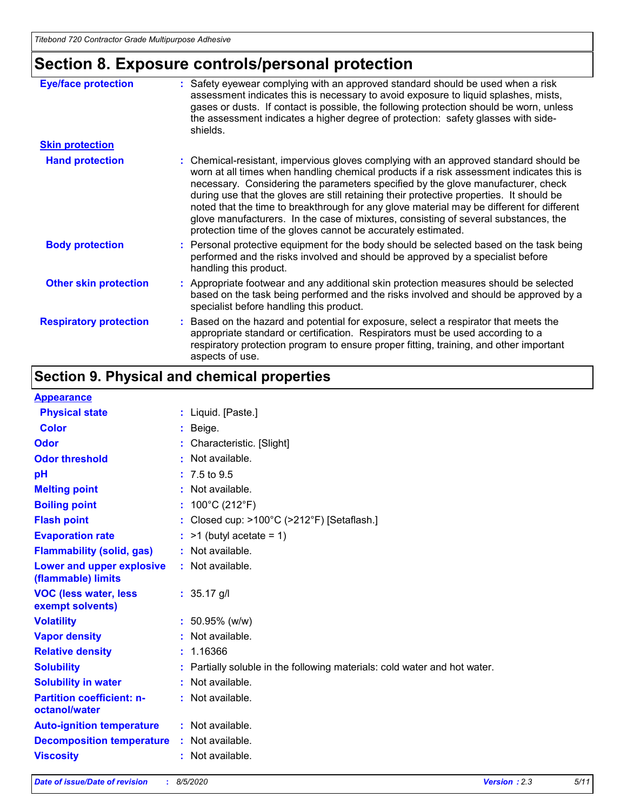## **Section 8. Exposure controls/personal protection**

| <b>Eye/face protection</b>    | : Safety eyewear complying with an approved standard should be used when a risk<br>assessment indicates this is necessary to avoid exposure to liquid splashes, mists,<br>gases or dusts. If contact is possible, the following protection should be worn, unless<br>the assessment indicates a higher degree of protection: safety glasses with side-<br>shields.                                                                                                                                                                                                                                                     |
|-------------------------------|------------------------------------------------------------------------------------------------------------------------------------------------------------------------------------------------------------------------------------------------------------------------------------------------------------------------------------------------------------------------------------------------------------------------------------------------------------------------------------------------------------------------------------------------------------------------------------------------------------------------|
| <b>Skin protection</b>        |                                                                                                                                                                                                                                                                                                                                                                                                                                                                                                                                                                                                                        |
| <b>Hand protection</b>        | : Chemical-resistant, impervious gloves complying with an approved standard should be<br>worn at all times when handling chemical products if a risk assessment indicates this is<br>necessary. Considering the parameters specified by the glove manufacturer, check<br>during use that the gloves are still retaining their protective properties. It should be<br>noted that the time to breakthrough for any glove material may be different for different<br>glove manufacturers. In the case of mixtures, consisting of several substances, the<br>protection time of the gloves cannot be accurately estimated. |
| <b>Body protection</b>        | : Personal protective equipment for the body should be selected based on the task being<br>performed and the risks involved and should be approved by a specialist before<br>handling this product.                                                                                                                                                                                                                                                                                                                                                                                                                    |
| <b>Other skin protection</b>  | : Appropriate footwear and any additional skin protection measures should be selected<br>based on the task being performed and the risks involved and should be approved by a<br>specialist before handling this product.                                                                                                                                                                                                                                                                                                                                                                                              |
| <b>Respiratory protection</b> | : Based on the hazard and potential for exposure, select a respirator that meets the<br>appropriate standard or certification. Respirators must be used according to a<br>respiratory protection program to ensure proper fitting, training, and other important<br>aspects of use.                                                                                                                                                                                                                                                                                                                                    |

### **Section 9. Physical and chemical properties**

#### **Appearance**

| <u>Appourance</u>                                 |    |                                                                         |
|---------------------------------------------------|----|-------------------------------------------------------------------------|
| <b>Physical state</b>                             |    | : Liquid. [Paste.]                                                      |
| <b>Color</b>                                      |    | Beige.                                                                  |
| <b>Odor</b>                                       |    | Characteristic. [Slight]                                                |
| <b>Odor threshold</b>                             |    | Not available.                                                          |
| рH                                                |    | $: 7.5 \text{ to } 9.5$                                                 |
| <b>Melting point</b>                              | t. | Not available.                                                          |
| <b>Boiling point</b>                              |    | 100°C (212°F)                                                           |
| <b>Flash point</b>                                |    | Closed cup: >100°C (>212°F) [Setaflash.]                                |
| <b>Evaporation rate</b>                           |    | $:$ >1 (butyl acetate = 1)                                              |
| <b>Flammability (solid, gas)</b>                  |    | : Not available.                                                        |
| Lower and upper explosive<br>(flammable) limits   |    | : Not available.                                                        |
| <b>VOC (less water, less</b><br>exempt solvents)  |    | $: 35.17$ g/l                                                           |
| <b>Volatility</b>                                 |    | $: 50.95\%$ (w/w)                                                       |
| <b>Vapor density</b>                              |    | Not available.                                                          |
| <b>Relative density</b>                           |    | 1.16366                                                                 |
| <b>Solubility</b>                                 |    | Partially soluble in the following materials: cold water and hot water. |
| <b>Solubility in water</b>                        |    | Not available.                                                          |
| <b>Partition coefficient: n-</b><br>octanol/water |    | : Not available.                                                        |
| <b>Auto-ignition temperature</b>                  |    | : Not available.                                                        |
| <b>Decomposition temperature</b>                  |    | : Not available.                                                        |
| <b>Viscosity</b>                                  |    | : Not available.                                                        |
|                                                   |    |                                                                         |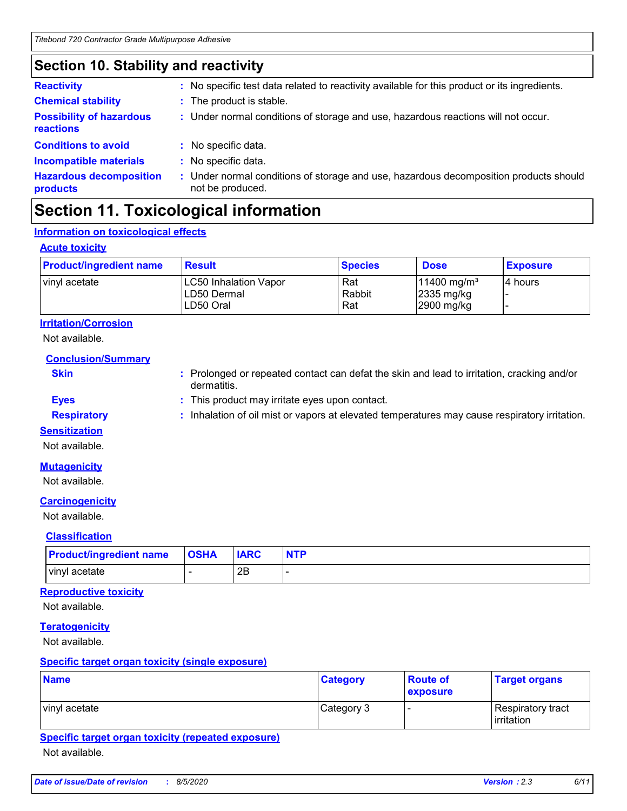### **Section 10. Stability and reactivity**

| <b>Reactivity</b>                            | No specific test data related to reactivity available for this product or its ingredients.<br>t.          |
|----------------------------------------------|-----------------------------------------------------------------------------------------------------------|
| <b>Chemical stability</b>                    | The product is stable.<br>t.                                                                              |
| <b>Possibility of hazardous</b><br>reactions | : Under normal conditions of storage and use, hazardous reactions will not occur.                         |
| <b>Conditions to avoid</b>                   | No specific data.                                                                                         |
| <b>Incompatible materials</b>                | No specific data.<br>÷.                                                                                   |
| <b>Hazardous decomposition</b><br>products   | : Under normal conditions of storage and use, hazardous decomposition products should<br>not be produced. |

### **Section 11. Toxicological information**

### **Information on toxicological effects**

#### **Acute toxicity**

| <b>Product/ingredient name</b> | <b>Result</b>                                            | <b>Species</b>       | <b>Dose</b>                                                       | <b>Exposure</b> |
|--------------------------------|----------------------------------------------------------|----------------------|-------------------------------------------------------------------|-----------------|
| vinyl acetate                  | <b>LC50 Inhalation Vapor</b><br>LD50 Dermal<br>LD50 Oral | Rat<br>Rabbit<br>Rat | $11400$ mg/m <sup>3</sup><br>$ 2335 \text{ mg/kg} $<br>2900 mg/kg | l4 hours        |

### **Irritation/Corrosion**

Not available.

**Conclusion/Summary**

- **Skin Example 20 :** Prolonged or repeated contact can defat the skin and lead to irritation, cracking and/or dermatitis.
- **Eyes :** This product may irritate eyes upon contact.
- **Respiratory :** Inhalation of oil mist or vapors at elevated temperatures may cause respiratory irritation.

#### **Sensitization**

Not available.

### **Mutagenicity**

Not available.

### **Carcinogenicity**

Not available.

### **Classification**

| <b>Product/ingredient name</b> | <b>OSHA</b> | <b>IARC</b> | <b>NTP</b> |
|--------------------------------|-------------|-------------|------------|
| vinyl acetate                  |             | 2Β          |            |

### **Reproductive toxicity**

Not available.

### **Teratogenicity**

Not available.

### **Specific target organ toxicity (single exposure)**

| <b>Name</b>   | <b>Category</b> | <b>Route of</b><br>exposure | <b>Target organs</b>                     |
|---------------|-----------------|-----------------------------|------------------------------------------|
| vinyl acetate | Category 3      |                             | Respiratory tract<br><b>l</b> irritation |

### **Specific target organ toxicity (repeated exposure)**

Not available.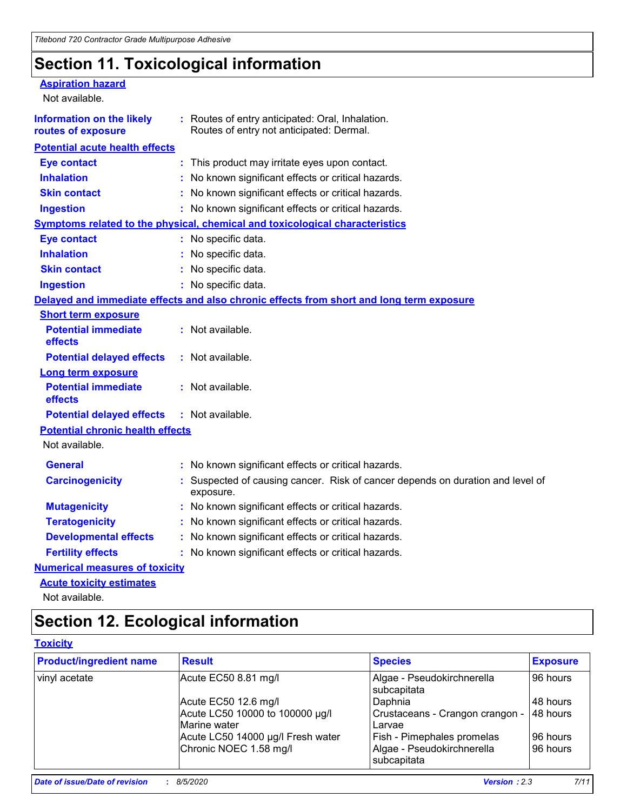### **Section 11. Toxicological information**

| <b>Aspiration hazard</b>                               |                                                                                              |
|--------------------------------------------------------|----------------------------------------------------------------------------------------------|
| Not available.                                         |                                                                                              |
| <b>Information on the likely</b><br>routes of exposure | : Routes of entry anticipated: Oral, Inhalation.<br>Routes of entry not anticipated: Dermal. |
| <b>Potential acute health effects</b>                  |                                                                                              |
| <b>Eye contact</b>                                     | : This product may irritate eyes upon contact.                                               |
| <b>Inhalation</b>                                      | No known significant effects or critical hazards.                                            |
| <b>Skin contact</b>                                    | : No known significant effects or critical hazards.                                          |
| <b>Ingestion</b>                                       | : No known significant effects or critical hazards.                                          |
|                                                        | <b>Symptoms related to the physical, chemical and toxicological characteristics</b>          |
| <b>Eye contact</b>                                     | : No specific data.                                                                          |
| <b>Inhalation</b>                                      | : No specific data.                                                                          |
| <b>Skin contact</b>                                    | : No specific data.                                                                          |
| <b>Ingestion</b>                                       | : No specific data.                                                                          |
|                                                        | Delayed and immediate effects and also chronic effects from short and long term exposure     |
| <b>Short term exposure</b>                             |                                                                                              |
| <b>Potential immediate</b><br>effects                  | : Not available.                                                                             |
| <b>Potential delayed effects</b>                       | : Not available.                                                                             |
| <b>Long term exposure</b>                              |                                                                                              |
| <b>Potential immediate</b><br>effects                  | $:$ Not available.                                                                           |
| <b>Potential delayed effects</b>                       | : Not available.                                                                             |
| <b>Potential chronic health effects</b>                |                                                                                              |
| Not available.                                         |                                                                                              |
| <b>General</b>                                         | : No known significant effects or critical hazards.                                          |
| <b>Carcinogenicity</b>                                 | : Suspected of causing cancer. Risk of cancer depends on duration and level of<br>exposure.  |
| <b>Mutagenicity</b>                                    | : No known significant effects or critical hazards.                                          |
| <b>Teratogenicity</b>                                  | No known significant effects or critical hazards.                                            |
| <b>Developmental effects</b>                           | No known significant effects or critical hazards.                                            |
| <b>Fertility effects</b>                               | : No known significant effects or critical hazards.                                          |
| <b>Numerical measures of toxicity</b>                  |                                                                                              |
| <b>Acute toxicity estimates</b>                        |                                                                                              |

Not available.

### **Section 12. Ecological information**

### **Toxicity**

| <b>Product/ingredient name</b> | <b>Result</b>                                   | <b>Species</b>                                   | <b>Exposure</b> |
|--------------------------------|-------------------------------------------------|--------------------------------------------------|-----------------|
| vinyl acetate                  | Acute EC50 8.81 mg/l                            | Algae - Pseudokirchnerella<br>subcapitata        | 96 hours        |
|                                | Acute EC50 12.6 mg/l                            | Daphnia                                          | 48 hours        |
|                                | Acute LC50 10000 to 100000 µg/l<br>Marine water | Crustaceans - Crangon crangon -<br><b>Larvae</b> | 48 hours        |
|                                | Acute LC50 14000 µg/l Fresh water               | <b>Fish - Pimephales promelas</b>                | 96 hours        |
|                                | Chronic NOEC 1.58 mg/l                          | Algae - Pseudokirchnerella<br>subcapitata        | 96 hours        |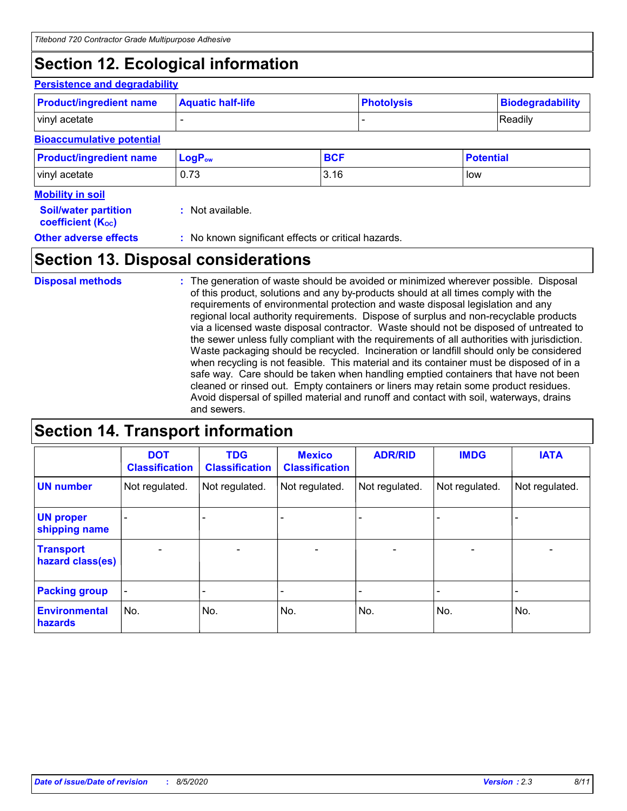### **Section 12. Ecological information**

#### **Persistence and degradability**

|            | Readily          |  |
|------------|------------------|--|
|            |                  |  |
|            |                  |  |
| <b>BCF</b> | <b>Potential</b> |  |
| 3.16       | low              |  |
|            |                  |  |

| <b>Soil/water partition</b> | : Not available. |
|-----------------------------|------------------|
| <b>coefficient (Koc)</b>    |                  |

**Other adverse effects** : No known significant effects or critical hazards.

### **Section 13. Disposal considerations**

The generation of waste should be avoided or minimized wherever possible. Disposal of this product, solutions and any by-products should at all times comply with the requirements of environmental protection and waste disposal legislation and any regional local authority requirements. Dispose of surplus and non-recyclable products via a licensed waste disposal contractor. Waste should not be disposed of untreated to the sewer unless fully compliant with the requirements of all authorities with jurisdiction. Waste packaging should be recycled. Incineration or landfill should only be considered when recycling is not feasible. This material and its container must be disposed of in a safe way. Care should be taken when handling emptied containers that have not been cleaned or rinsed out. Empty containers or liners may retain some product residues. Avoid dispersal of spilled material and runoff and contact with soil, waterways, drains and sewers. **Disposal methods :**

### **Section 14. Transport information**

|                                      | <b>DOT</b><br><b>Classification</b> | <b>TDG</b><br><b>Classification</b> | <b>Mexico</b><br><b>Classification</b> | <b>ADR/RID</b>           | <b>IMDG</b>    | <b>IATA</b>    |
|--------------------------------------|-------------------------------------|-------------------------------------|----------------------------------------|--------------------------|----------------|----------------|
| <b>UN number</b>                     | Not regulated.                      | Not regulated.                      | Not regulated.                         | Not regulated.           | Not regulated. | Not regulated. |
| <b>UN proper</b><br>shipping name    | $\blacksquare$                      | -                                   |                                        | -                        |                |                |
| <b>Transport</b><br>hazard class(es) |                                     | $\blacksquare$                      | $\blacksquare$                         | $\overline{\phantom{0}}$ | $\blacksquare$ |                |
| <b>Packing group</b>                 | $\qquad \qquad \blacksquare$        | -                                   |                                        |                          |                |                |
| <b>Environmental</b><br>hazards      | No.                                 | No.                                 | No.                                    | No.                      | No.            | No.            |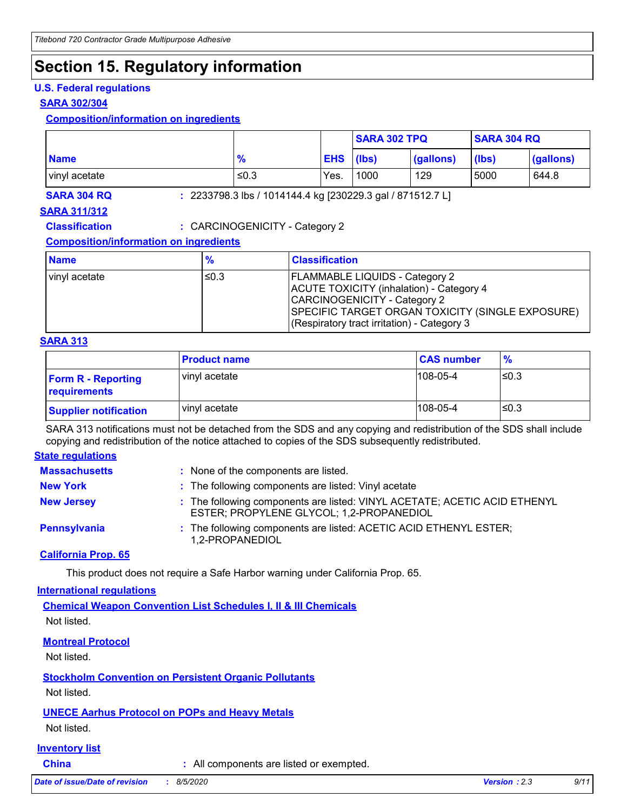### **Section 15. Regulatory information**

### **U.S. Federal regulations**

### **SARA 302/304**

#### **Composition/information on ingredients**

|                    |               |                                                            | <b>SARA 302 TPQ</b> |           | <b>SARA 304 RQ</b> |           |
|--------------------|---------------|------------------------------------------------------------|---------------------|-----------|--------------------|-----------|
| <b>Name</b>        | $\frac{9}{6}$ | <b>EHS</b>                                                 | (Ibs)               | (gallons) | (lbs)              | (gallons) |
| vinyl acetate      | $\leq 0.3$    | Yes.                                                       | 1000                | 129       | 5000               | 644.8     |
| <b>SARA 304 RQ</b> |               | : 2233798.3 lbs / 1014144.4 kg [230229.3 gal / 871512.7 L] |                     |           |                    |           |

### **SARA 311/312**

**Classification :** CARCINOGENICITY - Category 2

### **Composition/information on ingredients**

| <b>Name</b>   | $\frac{9}{6}$ | <b>Classification</b>                                                                                                                                                                                                |
|---------------|---------------|----------------------------------------------------------------------------------------------------------------------------------------------------------------------------------------------------------------------|
| vinyl acetate | ≤0.3          | <b>FLAMMABLE LIQUIDS - Category 2</b><br>ACUTE TOXICITY (inhalation) - Category 4<br>CARCINOGENICITY - Category 2<br>SPECIFIC TARGET ORGAN TOXICITY (SINGLE EXPOSURE)<br>(Respiratory tract irritation) - Category 3 |

#### **SARA 313**

|                                           | <b>Product name</b> | <b>CAS number</b> | $\frac{9}{6}$ |
|-------------------------------------------|---------------------|-------------------|---------------|
| <b>Form R - Reporting</b><br>requirements | vinyl acetate       | $108 - 05 - 4$    | l≤0.3         |
| <b>Supplier notification</b>              | vinyl acetate       | $108-05-4$        | l≤0.3         |

SARA 313 notifications must not be detached from the SDS and any copying and redistribution of the SDS shall include copying and redistribution of the notice attached to copies of the SDS subsequently redistributed.

#### **State regulations**

| <b>Massachusetts</b> | : None of the components are listed.                                                                                  |
|----------------------|-----------------------------------------------------------------------------------------------------------------------|
| <b>New York</b>      | : The following components are listed: Vinyl acetate                                                                  |
| <b>New Jersey</b>    | : The following components are listed: VINYL ACETATE; ACETIC ACID ETHENYL<br>ESTER; PROPYLENE GLYCOL; 1,2-PROPANEDIOL |
| <b>Pennsylvania</b>  | : The following components are listed: ACETIC ACID ETHENYL ESTER;<br>1.2-PROPANEDIOL                                  |

### **California Prop. 65**

This product does not require a Safe Harbor warning under California Prop. 65.

#### **International regulations**

**Chemical Weapon Convention List Schedules I, II & III Chemicals** Not listed.

### **Montreal Protocol**

Not listed.

**Stockholm Convention on Persistent Organic Pollutants**

Not listed.

### **UNECE Aarhus Protocol on POPs and Heavy Metals**

Not listed.

### **Inventory list**

**China :** All components are listed or exempted.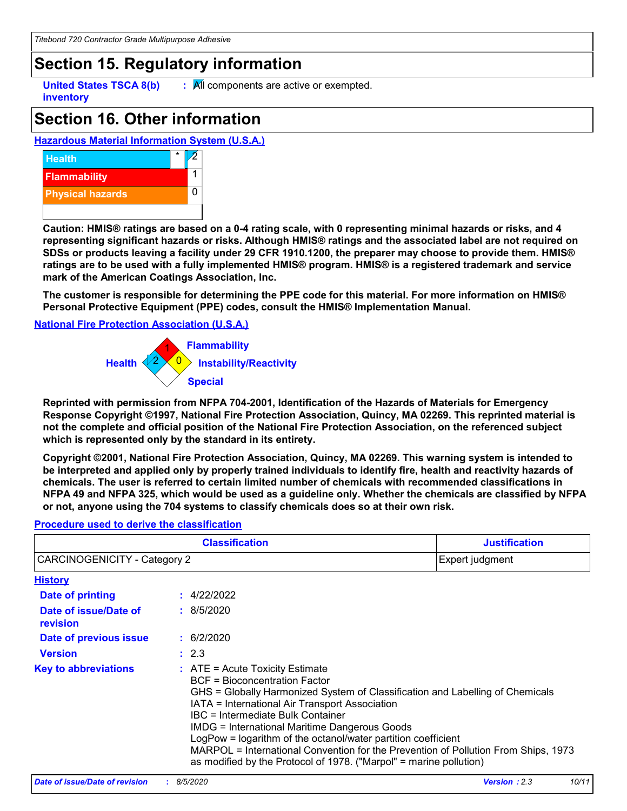### **Section 15. Regulatory information**

**inventory**

**United States TSCA 8(b)**  $\qquad$ **: All components are active or exempted.** 

### **Section 16. Other information**

### **Hazardous Material Information System (U.S.A.)**



**Caution: HMIS® ratings are based on a 0-4 rating scale, with 0 representing minimal hazards or risks, and 4 representing significant hazards or risks. Although HMIS® ratings and the associated label are not required on SDSs or products leaving a facility under 29 CFR 1910.1200, the preparer may choose to provide them. HMIS® ratings are to be used with a fully implemented HMIS® program. HMIS® is a registered trademark and service mark of the American Coatings Association, Inc.**

**The customer is responsible for determining the PPE code for this material. For more information on HMIS® Personal Protective Equipment (PPE) codes, consult the HMIS® Implementation Manual.**

#### **National Fire Protection Association (U.S.A.)**



**Reprinted with permission from NFPA 704-2001, Identification of the Hazards of Materials for Emergency Response Copyright ©1997, National Fire Protection Association, Quincy, MA 02269. This reprinted material is not the complete and official position of the National Fire Protection Association, on the referenced subject which is represented only by the standard in its entirety.**

**Copyright ©2001, National Fire Protection Association, Quincy, MA 02269. This warning system is intended to be interpreted and applied only by properly trained individuals to identify fire, health and reactivity hazards of chemicals. The user is referred to certain limited number of chemicals with recommended classifications in NFPA 49 and NFPA 325, which would be used as a guideline only. Whether the chemicals are classified by NFPA or not, anyone using the 704 systems to classify chemicals does so at their own risk.**

#### 4/22/2022 **: History Date of printing Date of issue/Date of revision Version Date of previous issue :** 2.3 **:** 8/5/2020 **:** 6/2/2020 **Key to abbreviations :** ATE = Acute Toxicity Estimate BCF = Bioconcentration Factor GHS = Globally Harmonized System of Classification and Labelling of Chemicals IATA = International Air Transport Association IBC = Intermediate Bulk Container IMDG = International Maritime Dangerous Goods LogPow = logarithm of the octanol/water partition coefficient MARPOL = International Convention for the Prevention of Pollution From Ships, 1973 as modified by the Protocol of 1978. ("Marpol" = marine pollution) **Classification Justification** CARCINOGENICITY - Category 2 Expert judgment

#### **Procedure used to derive the classification**